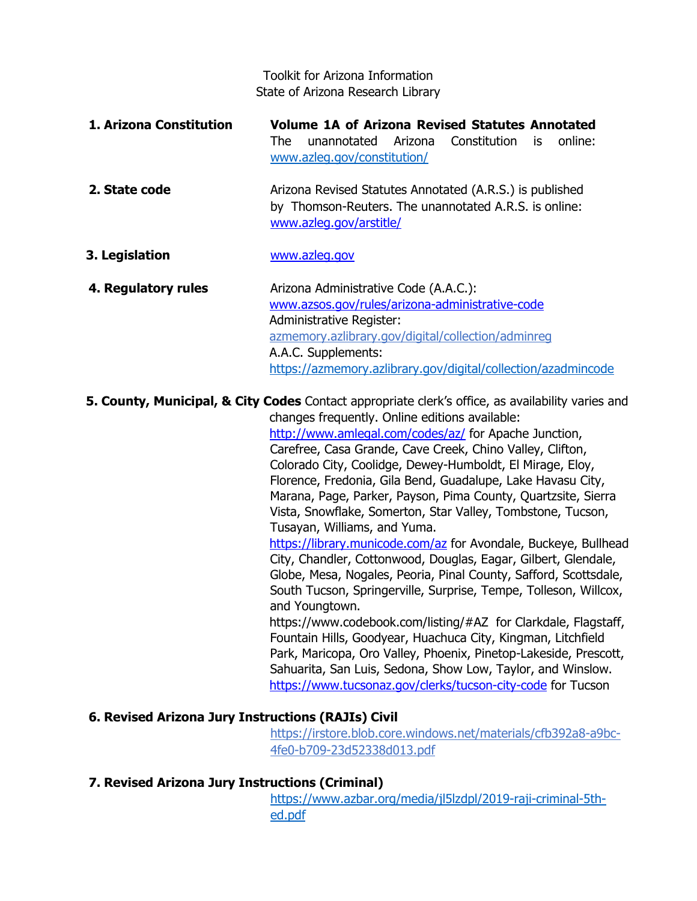Toolkit for Arizona Information State of Arizona Research Library

- **1. Arizona Constitution Volume 1A of Arizona Revised Statutes Annotated**  The unannotated Arizona Constitution is online: [www.azleg.gov/constitution/](http://www.azleg.gov/constitution/)
- **2. State code Arizona Revised Statutes Annotated (A.R.S.) is published** by Thomson-Reuters. The unannotated A.R.S. is online: www.azleg.gov/arstitle/
- **3. Legislation** www.azleg.gov
- **4. Regulatory rules** Arizona Administrative Code (A.A.C.): www.azsos.gov/rules/arizona-administrative-code Administrative Register: azmemory.azlibrary.gov/digital/collection/adminreg A.A.C. Supplements: <https://azmemory.azlibrary.gov/digital/collection/azadmincode>

**5. County, Municipal, & City Codes** Contact appropriate clerk's office, as availability varies and changes frequently. Online editions available: http://www.amlegal.com/codes/az/ for Apache Junction, Carefree, Casa Grande, Cave Creek, Chino Valley, Clifton, Colorado City, Coolidge, Dewey-Humboldt, El Mirage, Eloy, Florence, Fredonia, Gila Bend, Guadalupe, Lake Havasu City, Marana, Page, Parker, Payson, Pima County, Quartzsite, Sierra Vista, Snowflake, Somerton, Star Valley, Tombstone, Tucson, Tusayan, Williams, and Yuma. https://library.municode.com/az for Avondale, Buckeye, Bullhead City, Chandler, Cottonwood, Douglas, Eagar, Gilbert, Glendale, Globe, Mesa, Nogales, Peoria, Pinal County, Safford, Scottsdale, South Tucson, Springerville, Surprise, Tempe, Tolleson, Willcox,

> and Youngtown. https://www.codebook.com/listing/#AZ for Clarkdale, Flagstaff, Fountain Hills, Goodyear, Huachuca City, Kingman, Litchfield Park, Maricopa, Oro Valley, Phoenix, Pinetop-Lakeside, Prescott, Sahuarita, San Luis, Sedona, Show Low, Taylor, and Winslow. https://www.tucsonaz.gov/clerks/tucson-city-code for Tucson

# **6. Revised Arizona Jury Instructions (RAJIs) Civil**

[https://irstore.blob.core.windows.net/materials/cfb392a8-a9bc-](https://irstore.blob.core.windows.net/materials/cfb392a8-a9bc-4fe0-b709-23d52338d013.pdf)[4fe0-b709-23d52338d013.pdf](https://irstore.blob.core.windows.net/materials/cfb392a8-a9bc-4fe0-b709-23d52338d013.pdf)

# **7. Revised Arizona Jury Instructions (Criminal)**

[https://www.azbar.org/media/jl5lzdpl/2019-raji-criminal-5th](https://www.azbar.org/media/jl5lzdpl/2019-raji-criminal-5th-ed.pdf)[ed.pdf](https://www.azbar.org/media/jl5lzdpl/2019-raji-criminal-5th-ed.pdf)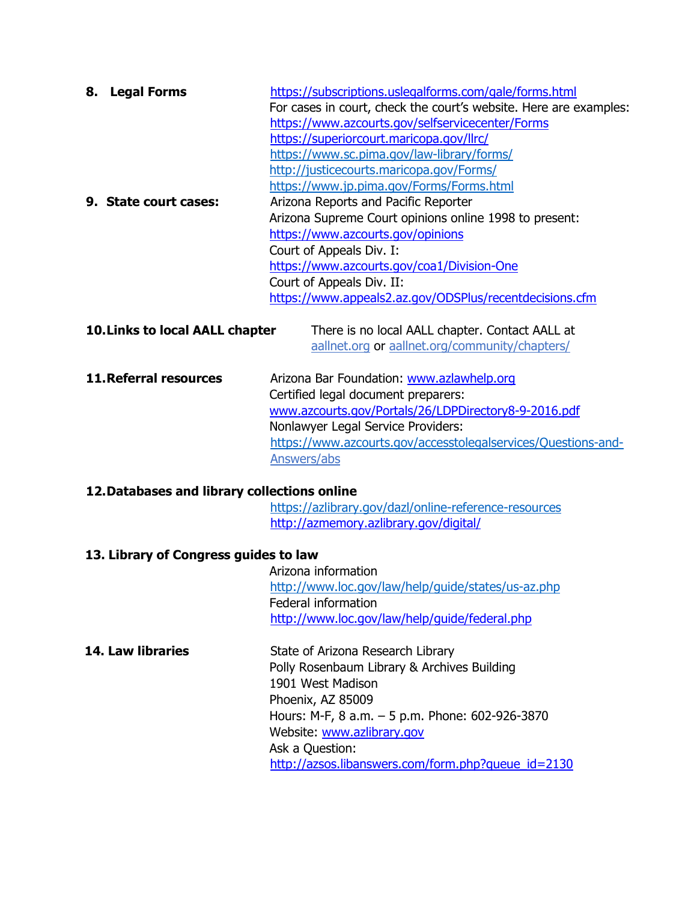| 8. | <b>Legal Forms</b>    | https://subscriptions.uslegalforms.com/gale/forms.html<br>For cases in court, check the court's website. Here are examples:<br>https://www.azcourts.gov/selfservicecenter/Forms<br>https://superiorcourt.maricopa.gov/llrc/<br>https://www.sc.pima.gov/law-library/forms/<br>http://justicecourts.maricopa.gov/Forms/ |
|----|-----------------------|-----------------------------------------------------------------------------------------------------------------------------------------------------------------------------------------------------------------------------------------------------------------------------------------------------------------------|
|    |                       | https://www.jp.pima.gov/Forms/Forms.html                                                                                                                                                                                                                                                                              |
|    | 9. State court cases: | Arizona Reports and Pacific Reporter                                                                                                                                                                                                                                                                                  |
|    |                       | Arizona Supreme Court opinions online 1998 to present:                                                                                                                                                                                                                                                                |
|    |                       | https://www.azcourts.gov/opinions                                                                                                                                                                                                                                                                                     |
|    |                       | Court of Appeals Div. I:                                                                                                                                                                                                                                                                                              |
|    |                       | https://www.azcourts.gov/coa1/Division-One                                                                                                                                                                                                                                                                            |
|    |                       | Court of Appeals Div. II:                                                                                                                                                                                                                                                                                             |
|    |                       | https://www.appeals2.az.gov/ODSPlus/recentdecisions.cfm                                                                                                                                                                                                                                                               |

| <b>10. Links to local AALL chapter</b> | There is no local AALL chapter. Contact AALL at |
|----------------------------------------|-------------------------------------------------|
|                                        | aallnet.org or aallnet.org/community/chapters/  |

**11.Referral resources** Arizona Bar Foundation: www.azlawhelp.org Certified legal document preparers: www.azcourts.gov/Portals/26/LDPDirectory8-9-2016.pdf Nonlawyer Legal Service Providers: <https://www.azcourts.gov/accesstolegalservices/Questions-and->Answers/abs

# **12.Databases and library collections online**

<https://azlibrary.gov/dazl/online-reference-resources> http://azmemory.azlibrary.gov/digital/

# **13. Library of Congress guides to law**

Arizona information <http://www.loc.gov/law/help/guide/states/us-az.php> Federal information http://www.loc.gov/law/help/guide/federal.php

**14. Law libraries State of Arizona Research Library** Polly Rosenbaum Library & Archives Building 1901 West Madison Phoenix, AZ 85009 Hours: M-F, 8 a.m. – 5 p.m. Phone: 602-926-3870 Website: www.azlibrary.gov Ask a Question: http://azsos.libanswers.com/form.php?queue\_id=2130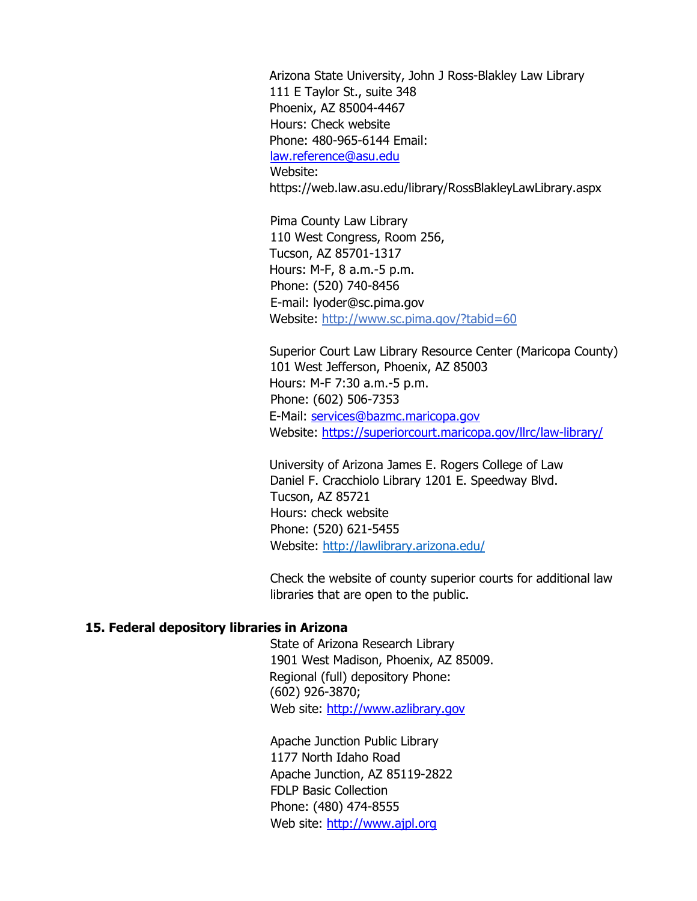Arizona State University, John J Ross-Blakley Law Library 111 E Taylor St., suite 348 Phoenix, AZ 85004-4467 Hours: Check website Phone: 480-965-6144 Email: law.reference@asu.edu Website: https://web.law.asu.edu/library/RossBlakleyLawLibrary.aspx

Pima County Law Library 110 West Congress, Room 256, Tucson, AZ 85701-1317 Hours: M-F, 8 a.m.-5 p.m. Phone: (520) 740-8456 E-mail: lyoder@sc.pima.gov Website: http://www.sc.pima.gov/?tabid=60

Superior Court Law Library Resource Center (Maricopa County) 101 West Jefferson, Phoenix, AZ 85003 Hours: M-F 7:30 a.m.-5 p.m. Phone: (602) 506-7353 E-Mail: services@bazmc.maricopa.gov Website: https://superiorcourt.maricopa.gov/llrc/law-library/

University of Arizona James E. Rogers College of Law Daniel F. Cracchiolo Library 1201 E. Speedway Blvd. Tucson, AZ 85721 Hours: check website Phone: (520) 621-5455 Website:<http://lawlibrary.arizona.edu/>

Check the website of county superior courts for additional law libraries that are open to the public.

### **15. Federal depository libraries in Arizona**

State of Arizona Research Library 1901 West Madison, Phoenix, AZ 85009. Regional (full) depository Phone: (602) 926-3870; Web site: http://www.azlibrary.gov

Apache Junction Public Library 1177 North Idaho Road Apache Junction, AZ 85119-2822 FDLP Basic Collection Phone: (480) 474-8555 Web site: http://www.ajpl.org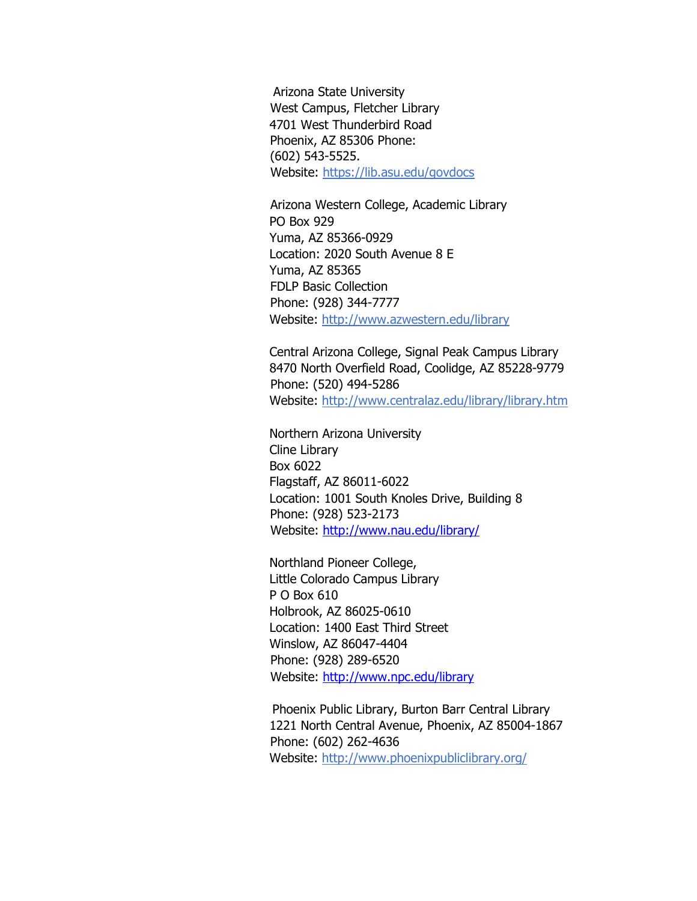Arizona State University West Campus, Fletcher Library 4701 West Thunderbird Road Phoenix, AZ 85306 Phone: (602) 543-5525. Website: https://lib.asu.edu/govdocs

Arizona Western College, Academic Library PO Box 929 Yuma, AZ 85366-0929 Location: 2020 South Avenue 8 E Yuma, AZ 85365 FDLP Basic Collection Phone: (928) 344-7777 Website: http://www.azwestern.edu/library

Central Arizona College, Signal Peak Campus Library 8470 North Overfield Road, Coolidge, AZ 85228-9779 Phone: (520) 494-5286 Website: http://www.centralaz.edu/library/library.htm

Northern Arizona University Cline Library Box 6022 Flagstaff, AZ 86011-6022 Location: 1001 South Knoles Drive, Building 8 Phone: (928) 523-2173 Website: http://www.nau.edu/library/

Northland Pioneer College, Little Colorado Campus Library P O Box 610 Holbrook, AZ 86025-0610 Location: 1400 East Third Street Winslow, AZ 86047-4404 Phone: (928) 289-6520 Website: http://www.npc.edu/library

Phoenix Public Library, Burton Barr Central Library 1221 North Central Avenue, Phoenix, AZ 85004-1867 Phone: (602) 262-4636 Website: http://www.phoenixpubliclibrary.org/